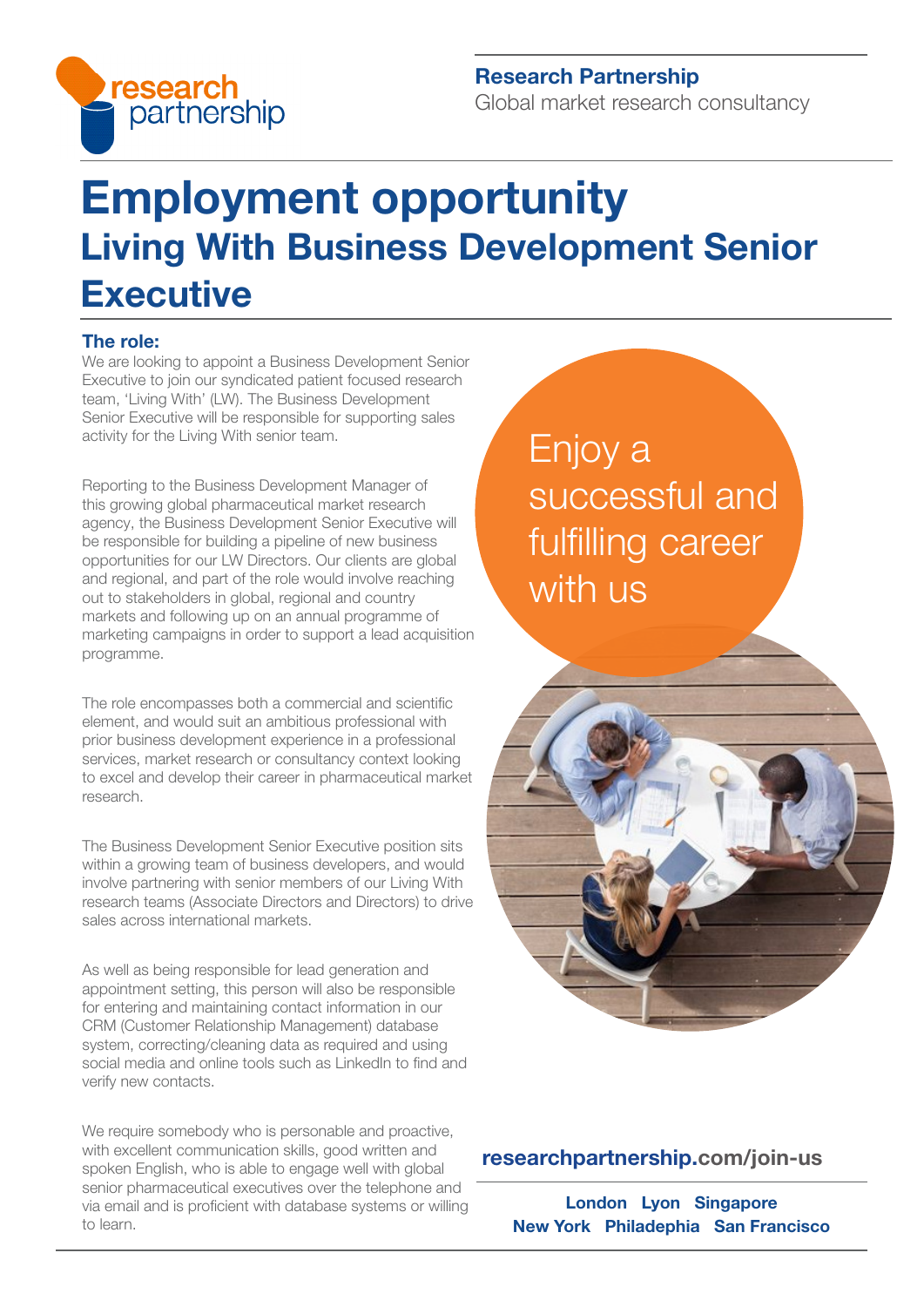

## Research Partnership

Global market research consultancy

# Employment opportunity Living With Business Development Senior **Executive**

#### The role:

We are looking to appoint a Business Development Senior Executive to join our syndicated patient focused research team, 'Living With' (LW). The Business Development Senior Executive will be responsible for supporting sales activity for the Living With senior team.

Reporting to the Business Development Manager of this growing global pharmaceutical market research agency, the Business Development Senior Executive will be responsible for building a pipeline of new business opportunities for our LW Directors. Our clients are global and regional, and part of the role would involve reaching out to stakeholders in global, regional and country markets and following up on an annual programme of marketing campaigns in order to support a lead acquisition programme.

The role encompasses both a commercial and scientific element, and would suit an ambitious professional with prior business development experience in a professional services, market research or consultancy context looking to excel and develop their career in pharmaceutical market research.

The Business Development Senior Executive position sits within a growing team of business developers, and would involve partnering with senior members of our Living With research teams (Associate Directors and Directors) to drive sales across international markets.

As well as being responsible for lead generation and appointment setting, this person will also be responsible for entering and maintaining contact information in our CRM (Customer Relationship Management) database system, correcting/cleaning data as required and using social media and online tools such as LinkedIn to find and verify new contacts.

We require somebody who is personable and proactive, with excellent communication skills, good written and spoken English, who is able to engage well with global senior pharmaceutical executives over the telephone and via email and is proficient with database systems or willing to learn.

Enjoy a successful and fulfilling career with us



## [researchpartnership.com/join-us](https://www.researchpartnership.com/join-us)

London Lyon Singapore New York Philadephia San Francisco